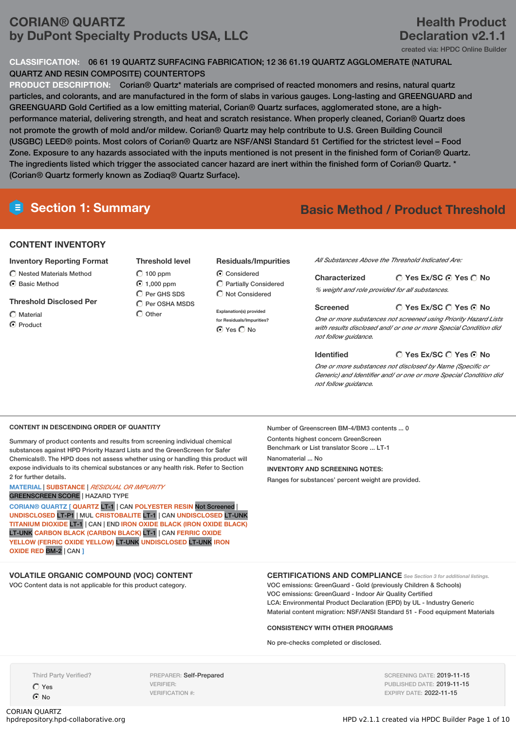# **CORIAN® QUARTZ by DuPont Specialty Products USA, LLC**

# **Health Product Declaration v2.1.1**

created via: HPDC Online Builder

# **CLASSIFICATION:** 06 61 19 QUARTZ SURFACING FABRICATION; 12 36 61.19 QUARTZ AGGLOMERATE (NATURAL QUARTZ AND RESIN COMPOSITE) COUNTERTOPS

**PRODUCT DESCRIPTION:** Corian® Quartz\* materials are comprised of reacted monomers and resins, natural quartz particles, and colorants, and are manufactured in the form of slabs in various gauges. Long-lasting and GREENGUARD and GREENGUARD Gold Certified as a low emitting material, Corian® Quartz surfaces, agglomerated stone, are a highperformance material, delivering strength, and heat and scratch resistance. When properly cleaned, Corian® Quartz does not promote the growth of mold and/or mildew. Corian® Quartz may help contribute to U.S. Green Building Council (USGBC) LEED® points. Most colors of Corian® Quartz are NSF/ANSI Standard 51 Certified for the strictest level – Food Zone. Exposure to any hazards associated with the inputs mentioned is not present in the finished form of Corian® Quartz. The ingredients listed which trigger the associated cancer hazard are inert within the finished form of Corian® Quartz. \* (Corian® Quartz formerly known as Zodiaq® Quartz Surface).

# **Section 1: Summary Basic Method / Product Threshold**

# **CONTENT INVENTORY**

## **Inventory Reporting Format**

- Nested Materials Method
- C Rasic Method
- **Threshold Disclosed Per**
- $\bigcap$  Material
- **⊙** Product

**Threshold level**  $\bigcap$  100 ppm 1,000 ppm  $\bigcap$  Per GHS SDS  $\bigcirc$  Per OSHA MSDS

C Other

## **Residuals/Impurities**

Considered Partially Considered Not Considered

**for Residuals/Impurities?**

*All Substances Above the Threshold Indicated Are:*

| <b>Characterized</b>                           | $\bigcirc$ Yes Ex/SC $\bigcirc$ Yes $\bigcirc$ No |
|------------------------------------------------|---------------------------------------------------|
| % weight and role provided for all substances. |                                                   |

## **Screened**

**Yes Ex/SC Yes No**

*One or more substances not screened using Priority Hazard Lists with results disclosed and/ or one or more Special Condition did not follow guidance.*

## **Identified**

**Yes Ex/SC Yes No**

*One or more substances not disclosed by Name (Specific or Generic) and Identifier and/ or one or more Special Condition did not follow guidance.*

## **CONTENT IN DESCENDING ORDER OF QUANTITY**

Summary of product contents and results from screening individual chemical substances against HPD Priority Hazard Lists and the GreenScreen for Safer Chemicals®. The HPD does not assess whether using or handling this product will expose individuals to its chemical substances or any health risk. Refer to Section 2 for further details.

# **MATERIAL** | **SUBSTANCE** | *RESIDUAL OR IMPURITY*

GREENSCREEN SCORE | HAZARD TYPE

**CORIAN® QUARTZ [ QUARTZ** LT-1 | CAN **POLYESTER RESIN** Not Screened | **UNDISCLOSED** LT-P1 | MUL **CRISTOBALITE** LT-1 | CAN **UNDISCLOSED** LT-UNK **TITANIUM DIOXIDE** LT-1 | CAN | END **IRON OXIDE BLACK (IRON OXIDE BLACK)** LT-UNK **CARBON BLACK (CARBON BLACK)** LT-1 | CAN **FERRIC OXIDE YELLOW (FERRIC OXIDE YELLOW)** LT-UNK **UNDISCLOSED** LT-UNK **IRON OXIDE RED** BM-2 | CAN **]**

**VOLATILE ORGANIC COMPOUND (VOC) CONTENT**

VOC Content data is not applicable for this product category.

Number of Greenscreen BM-4/BM3 contents ... 0 Contents highest concern GreenScreen Benchmark or List translator Score ... LT-1 Nanomaterial ... No **INVENTORY AND SCREENING NOTES:** Ranges for substances' percent weight are provided.

## **CERTIFICATIONS AND COMPLIANCE** *See Section <sup>3</sup> for additional listings.*

VOC emissions: GreenGuard - Gold (previously Children & Schools) VOC emissions: GreenGuard - Indoor Air Quality Certified LCA: Environmental Product Declaration (EPD) by UL - Industry Generic Material content migration: NSF/ANSI Standard 51 - Food equipment Materials

## **CONSISTENCY WITH OTHER PROGRAMS**

No pre-checks completed or disclosed.

Third Party Verified?

Yes **⊙**No

CORIAN QUARTZ<br>hpdrepository.hpd-collaborative.org

PREPARER: Self-Prepared VERIFIER: VERIFICATION #:

SCREENING DATE: 2019-11-15 PUBLISHED DATE: 2019-11-15 EXPIRY DATE: 2022-11-15

**Explanation(s) provided**

 $O$  Yes  $O$  No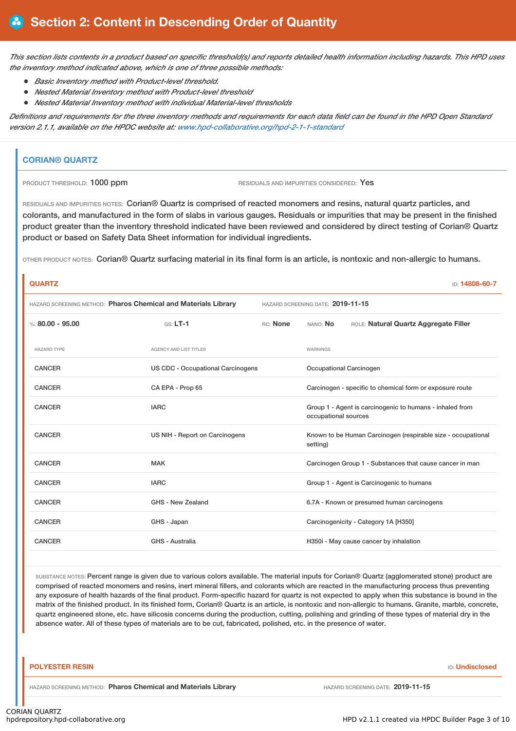This section lists contents in a product based on specific threshold(s) and reports detailed health information including hazards. This HPD uses *the inventory method indicated above, which is one of three possible methods:*

- *Basic Inventory method with Product-level threshold.*
- *Nested Material Inventory method with Product-level threshold*
- *Nested Material Inventory method with individual Material-level thresholds*

Definitions and requirements for the three inventory methods and requirements for each data field can be found in the HPD Open Standard *version 2.1.1, available on the HPDC website at: www.hpd-collaborative.org/hpd-2-1-1-standard*

# **CORIAN® QUARTZ**

PRODUCT THRESHOLD: 1000 ppm RESIDUALS AND IMPURITIES CONSIDERED: Yes

RESIDUALS AND IMPURITIES NOTES: Corian® Quartz is comprised of reacted monomers and resins, natural quartz particles, and colorants, and manufactured in the form of slabs in various gauges. Residuals or impurities that may be present in the finished product greater than the inventory threshold indicated have been reviewed and considered by direct testing of Corian® Quartz product or based on Safety Data Sheet information for individual ingredients.

OTHER PRODUCT NOTES: Corian® Quartz surfacing material in its final form is an article, is nontoxic and non-allergic to humans.

| <b>QUARTZ</b>                                                  |                                          |          |                                                                                  | ID: 14808-60-7                                           |  |
|----------------------------------------------------------------|------------------------------------------|----------|----------------------------------------------------------------------------------|----------------------------------------------------------|--|
| HAZARD SCREENING METHOD: Pharos Chemical and Materials Library |                                          |          | HAZARD SCREENING DATE: 2019-11-15                                                |                                                          |  |
| %: $80.00 - 95.00$                                             | $GS: LT-1$                               | RC: None | NANO: No                                                                         | ROLE: Natural Quartz Aggregate Filler                    |  |
| <b>HAZARD TYPE</b>                                             | <b>AGENCY AND LIST TITLES</b>            |          | WARNINGS                                                                         |                                                          |  |
| <b>CANCER</b>                                                  | <b>US CDC - Occupational Carcinogens</b> |          |                                                                                  | Occupational Carcinogen                                  |  |
| <b>CANCER</b>                                                  | CA EPA - Prop 65                         |          |                                                                                  | Carcinogen - specific to chemical form or exposure route |  |
| <b>CANCER</b>                                                  | <b>IARC</b>                              |          | Group 1 - Agent is carcinogenic to humans - inhaled from<br>occupational sources |                                                          |  |
| <b>CANCER</b>                                                  | US NIH - Report on Carcinogens           |          | Known to be Human Carcinogen (respirable size - occupational<br>setting)         |                                                          |  |
| <b>CANCER</b>                                                  | <b>MAK</b>                               |          |                                                                                  | Carcinogen Group 1 - Substances that cause cancer in man |  |
| <b>CANCER</b>                                                  | <b>IARC</b>                              |          |                                                                                  | Group 1 - Agent is Carcinogenic to humans                |  |
| <b>CANCER</b>                                                  | GHS - New Zealand                        |          |                                                                                  | 6.7A - Known or presumed human carcinogens               |  |
| <b>CANCER</b>                                                  | GHS - Japan                              |          |                                                                                  | Carcinogenicity - Category 1A [H350]                     |  |
| <b>CANCER</b>                                                  | GHS - Australia                          |          |                                                                                  | H350i - May cause cancer by inhalation                   |  |

SUBSTANCE NOTES: Percent range is given due to various colors available. The material inputs for Corian® Quartz (agglomerated stone) product are comprised of reacted monomers and resins, inert mineral fillers, and colorants which are reacted in the manufacturing process thus preventing any exposure of health hazards of the final product. Form-specific hazard for quartz is not expected to apply when this substance is bound in the matrix of the finished product. In its finished form, Corian® Quartz is an article, is nontoxic and non-allergic to humans. Granite, marble, concrete, quartz engineered stone, etc. have silicosis concerns during the production, cutting, polishing and grinding of these types of material dry in the absence water. All of these types of materials are to be cut, fabricated, polished, etc. in the presence of water.

#### **POLYESTER RESIN** ID: **Undisclosed**

HAZARD SCREENING METHOD: **Pharos Chemical and Materials Library** HAZARD SCREENING DATE: **2019-11-15**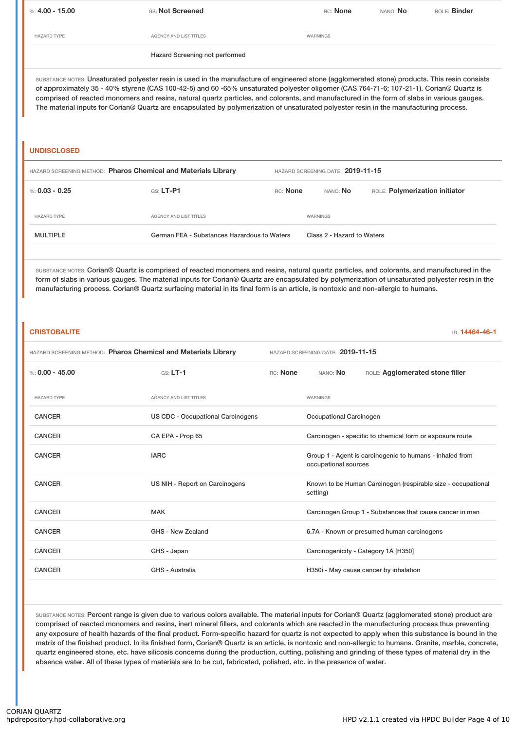%: **4.00 - 15.00** GS: **Not Screened** RC: **None** NANO: **No** ROLE: **Binder** HAZARD TYPE **AGENCY AND LIST TITLES AGENCY AND LIST TITLES** Hazard Screening not performed

SUBSTANCE NOTES: Unsaturated polyester resin is used in the manufacture of engineered stone (agglomerated stone) products. This resin consists of approximately 35 - 40% styrene (CAS 100-42-5) and 60 -65% unsaturated polyester oligomer (CAS 764-71-6; 107-21-1). Corian® Quartz is comprised of reacted monomers and resins, natural quartz particles, and colorants, and manufactured in the form of slabs in various gauges. The material inputs for Corian® Quartz are encapsulated by polymerization of unsaturated polyester resin in the manufacturing process.

# **UNDISCLOSED**

| HAZARD SCREENING METHOD: Pharos Chemical and Materials Library |                                             | HAZARD SCREENING DATE: 2019-11-15 |                            |                                |  |
|----------------------------------------------------------------|---------------------------------------------|-----------------------------------|----------------------------|--------------------------------|--|
| %: 0.03 - 0.25                                                 | $GS: LT-PI$                                 | RC: None                          | nano: <b>No</b>            | ROLE: Polymerization initiator |  |
| <b>HAZARD TYPE</b>                                             | AGENCY AND LIST TITLES                      |                                   | WARNINGS                   |                                |  |
| <b>MULTIPLE</b>                                                | German FEA - Substances Hazardous to Waters |                                   | Class 2 - Hazard to Waters |                                |  |

SUBSTANCE NOTES: Corian® Quartz is comprised of reacted monomers and resins, natural quartz particles, and colorants, and manufactured in the form of slabs in various gauges. The material inputs for Corian® Quartz are encapsulated by polymerization of unsaturated polyester resin in the manufacturing process. Corian® Quartz surfacing material in its final form is an article, is nontoxic and non-allergic to humans.

# **CRISTOBALITE** ID: **14464-46-1**

| HAZARD SCREENING METHOD: Pharos Chemical and Materials Library |                                   |                                                                                  | HAZARD SCREENING DATE: 2019-11-15                                        |  |
|----------------------------------------------------------------|-----------------------------------|----------------------------------------------------------------------------------|--------------------------------------------------------------------------|--|
| %: $0.00 - 45.00$                                              | $GS: LT-1$                        | RC: None<br>NANO: No<br>ROLE: Agglomerated stone filler                          |                                                                          |  |
| <b>HAZARD TYPE</b>                                             | <b>AGENCY AND LIST TITLES</b>     |                                                                                  | <b>WARNINGS</b>                                                          |  |
| <b>CANCER</b>                                                  | US CDC - Occupational Carcinogens | Occupational Carcinogen                                                          |                                                                          |  |
| <b>CANCER</b>                                                  | CA EPA - Prop 65                  | Carcinogen - specific to chemical form or exposure route                         |                                                                          |  |
| <b>CANCER</b>                                                  | <b>IARC</b>                       | Group 1 - Agent is carcinogenic to humans - inhaled from<br>occupational sources |                                                                          |  |
| <b>CANCER</b>                                                  | US NIH - Report on Carcinogens    |                                                                                  | Known to be Human Carcinogen (respirable size - occupational<br>setting) |  |
| <b>CANCER</b>                                                  | <b>MAK</b>                        |                                                                                  | Carcinogen Group 1 - Substances that cause cancer in man                 |  |
| <b>CANCER</b>                                                  | GHS - New Zealand                 |                                                                                  | 6.7A - Known or presumed human carcinogens                               |  |
| <b>CANCER</b>                                                  | GHS - Japan                       |                                                                                  | Carcinogenicity - Category 1A [H350]                                     |  |
| <b>CANCER</b>                                                  | GHS - Australia                   | H350i - May cause cancer by inhalation                                           |                                                                          |  |
|                                                                |                                   |                                                                                  |                                                                          |  |

SUBSTANCE NOTES: Percent range is given due to various colors available. The material inputs for Corian<sup>®</sup> Quartz (agglomerated stone) product are comprised of reacted monomers and resins, inert mineral fillers, and colorants which are reacted in the manufacturing process thus preventing any exposure of health hazards of the final product. Form-specific hazard for quartz is not expected to apply when this substance is bound in the matrix of the finished product. In its finished form, Corian® Quartz is an article, is nontoxic and non-allergic to humans. Granite, marble, concrete, quartz engineered stone, etc. have silicosis concerns during the production, cutting, polishing and grinding of these types of material dry in the absence water. All of these types of materials are to be cut, fabricated, polished, etc. in the presence of water.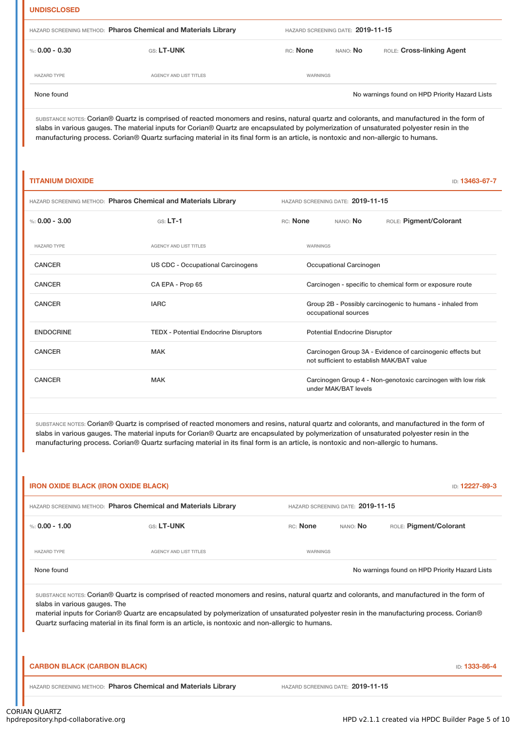## **UNDISCLOSED**

| HAZARD SCREENING METHOD: Pharos Chemical and Materials Library |                               |          | HAZARD SCREENING DATE: 2019-11-15 |                                                |  |  |
|----------------------------------------------------------------|-------------------------------|----------|-----------------------------------|------------------------------------------------|--|--|
| %: $0.00 - 0.30$                                               | <b>GS: LT-UNK</b>             | RC: None | nano: <b>No</b>                   | ROLE: Cross-linking Agent                      |  |  |
| <b>HAZARD TYPE</b>                                             | <b>AGENCY AND LIST TITLES</b> | WARNINGS |                                   |                                                |  |  |
| None found                                                     |                               |          |                                   | No warnings found on HPD Priority Hazard Lists |  |  |

SUBSTANCE NOTES: Corian® Quartz is comprised of reacted monomers and resins, natural quartz and colorants, and manufactured in the form of slabs in various gauges. The material inputs for Corian® Quartz are encapsulated by polymerization of unsaturated polyester resin in the manufacturing process. Corian® Quartz surfacing material in its final form is an article, is nontoxic and non-allergic to humans.

# **TITANIUM DIOXIDE** ID: **13463-67-7** HAZARD SCREENING METHOD: **Pharos Chemical and Materials Library** HAZARD SCREENING DATE: **2019-11-15** %: **0.00 - 3.00** GS: **LT-1** RC: **None** NANO: **No** ROLE: **Pigment/Colorant** HAZARD TYPE **AGENCY AND LIST TITLES AGENCY AND LIST TITLES** CANCER US CDC - Occupational Carcinogens Occupational Carcinogen CANCER CA EPA - Prop 65 Carcinogen - specific to chemical form or exposure route CANCER **IARC** IARC **GROUP 2B - Possibly carcinogenic to humans** - inhaled from occupational sources ENDOCRINE TEDX - Potential Endocrine Disruptors Potential Endocrine Disruptor CANCER MAK MAK CANCER CANCER MACK CANCER CANCER CANCER MAK not sufficient to establish MAK/BAT value CANCER THE MAK MAK CARCINO CARCINOGEN Group 4 - Non-genotoxic carcinogen with low risk under MAK/BAT levels

SUBSTANCE NOTES: Corian® Quartz is comprised of reacted monomers and resins, natural quartz and colorants, and manufactured in the form of slabs in various gauges. The material inputs for Corian® Quartz are encapsulated by polymerization of unsaturated polyester resin in the manufacturing process. Corian® Quartz surfacing material in its final form is an article, is nontoxic and non-allergic to humans.

| HAZARD SCREENING METHOD: Pharos Chemical and Materials Library |                                                                                                                                                                                                                                                                                                                                                                                                |          | HAZARD SCREENING DATE: 2019-11-15 |                                                |
|----------------------------------------------------------------|------------------------------------------------------------------------------------------------------------------------------------------------------------------------------------------------------------------------------------------------------------------------------------------------------------------------------------------------------------------------------------------------|----------|-----------------------------------|------------------------------------------------|
| %: $0.00 - 1.00$                                               | GS: LT-UNK                                                                                                                                                                                                                                                                                                                                                                                     | RC: None | NANO: No                          | ROLE: Pigment/Colorant                         |
| <b>HAZARD TYPE</b>                                             | <b>AGENCY AND LIST TITLES</b>                                                                                                                                                                                                                                                                                                                                                                  | WARNINGS |                                   |                                                |
|                                                                |                                                                                                                                                                                                                                                                                                                                                                                                |          |                                   |                                                |
| None found<br>slabs in various gauges. The                     | SUBSTANCE NOTES: Corian® Quartz is comprised of reacted monomers and resins, natural quartz and colorants, and manufactured in the form of<br>material inputs for Corian® Quartz are encapsulated by polymerization of unsaturated polyester resin in the manufacturing process. Corian®<br>Quartz surfacing material in its final form is an article, is nontoxic and non-allergic to humans. |          |                                   | No warnings found on HPD Priority Hazard Lists |
| <b>CARBON BLACK (CARBON BLACK)</b>                             |                                                                                                                                                                                                                                                                                                                                                                                                |          |                                   | ID: 1333-86-4                                  |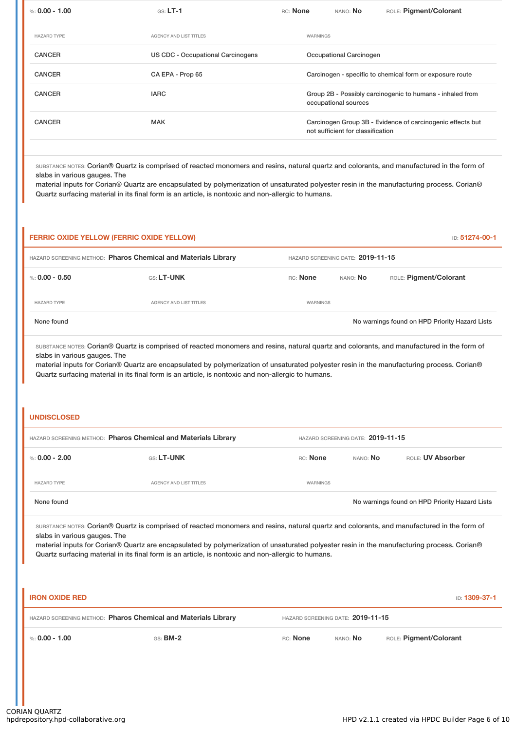| %: $0.00 - 1.00$   | $GS: LT-1$                               | RC: None | NANO: No                          | ROLE: Pigment/Colorant                                     |
|--------------------|------------------------------------------|----------|-----------------------------------|------------------------------------------------------------|
| <b>HAZARD TYPE</b> | <b>AGENCY AND LIST TITLES</b>            | WARNINGS |                                   |                                                            |
| <b>CANCER</b>      | <b>US CDC - Occupational Carcinogens</b> |          | Occupational Carcinogen           |                                                            |
| <b>CANCER</b>      | CA EPA - Prop 65                         |          |                                   | Carcinogen - specific to chemical form or exposure route   |
| <b>CANCER</b>      | <b>IARC</b>                              |          | occupational sources              | Group 2B - Possibly carcinogenic to humans - inhaled from  |
| <b>CANCER</b>      | <b>MAK</b>                               |          | not sufficient for classification | Carcinogen Group 3B - Evidence of carcinogenic effects but |
|                    |                                          |          |                                   |                                                            |

SUBSTANCE NOTES: Corian® Quartz is comprised of reacted monomers and resins, natural quartz and colorants, and manufactured in the form of slabs in various gauges. The

material inputs for Corian® Quartz are encapsulated by polymerization of unsaturated polyester resin in the manufacturing process. Corian® Quartz surfacing material in its final form is an article, is nontoxic and non-allergic to humans.

|                                                                                                                                                                                                                                                                                                                                                                                                                                                      | <b>FERRIC OXIDE YELLOW (FERRIC OXIDE YELLOW)</b>                                                                                                                                                                                                                                                                                                                                                                               |                                   |                                   | ID: 51274-00-1                                 |  |
|------------------------------------------------------------------------------------------------------------------------------------------------------------------------------------------------------------------------------------------------------------------------------------------------------------------------------------------------------------------------------------------------------------------------------------------------------|--------------------------------------------------------------------------------------------------------------------------------------------------------------------------------------------------------------------------------------------------------------------------------------------------------------------------------------------------------------------------------------------------------------------------------|-----------------------------------|-----------------------------------|------------------------------------------------|--|
|                                                                                                                                                                                                                                                                                                                                                                                                                                                      | HAZARD SCREENING METHOD: Pharos Chemical and Materials Library                                                                                                                                                                                                                                                                                                                                                                 |                                   | HAZARD SCREENING DATE: 2019-11-15 |                                                |  |
| %: $0.00 - 0.50$                                                                                                                                                                                                                                                                                                                                                                                                                                     | GS: LT-UNK                                                                                                                                                                                                                                                                                                                                                                                                                     | RC: None                          | NANO: No                          | ROLE: Pigment/Colorant                         |  |
| <b>HAZARD TYPE</b>                                                                                                                                                                                                                                                                                                                                                                                                                                   | AGENCY AND LIST TITLES                                                                                                                                                                                                                                                                                                                                                                                                         | <b>WARNINGS</b>                   |                                   |                                                |  |
| None found                                                                                                                                                                                                                                                                                                                                                                                                                                           |                                                                                                                                                                                                                                                                                                                                                                                                                                |                                   |                                   | No warnings found on HPD Priority Hazard Lists |  |
| SUBSTANCE NOTES: Corian® Quartz is comprised of reacted monomers and resins, natural quartz and colorants, and manufactured in the form of<br>slabs in various gauges. The<br>material inputs for Corian® Quartz are encapsulated by polymerization of unsaturated polyester resin in the manufacturing process. Corian®<br>Quartz surfacing material in its final form is an article, is nontoxic and non-allergic to humans.<br><b>UNDISCLOSED</b> |                                                                                                                                                                                                                                                                                                                                                                                                                                |                                   |                                   |                                                |  |
|                                                                                                                                                                                                                                                                                                                                                                                                                                                      | HAZARD SCREENING METHOD: Pharos Chemical and Materials Library                                                                                                                                                                                                                                                                                                                                                                 |                                   | HAZARD SCREENING DATE: 2019-11-15 |                                                |  |
| %: $0.00 - 2.00$                                                                                                                                                                                                                                                                                                                                                                                                                                     | GS: LT-UNK                                                                                                                                                                                                                                                                                                                                                                                                                     | RC: None                          | NANO: No                          | ROLE: UV Absorber                              |  |
| <b>HAZARD TYPE</b>                                                                                                                                                                                                                                                                                                                                                                                                                                   | AGENCY AND LIST TITLES                                                                                                                                                                                                                                                                                                                                                                                                         | <b>WARNINGS</b>                   |                                   |                                                |  |
| None found                                                                                                                                                                                                                                                                                                                                                                                                                                           |                                                                                                                                                                                                                                                                                                                                                                                                                                |                                   |                                   | No warnings found on HPD Priority Hazard Lists |  |
|                                                                                                                                                                                                                                                                                                                                                                                                                                                      | SUBSTANCE NOTES: Corian® Quartz is comprised of reacted monomers and resins, natural quartz and colorants, and manufactured in the form of<br>slabs in various gauges. The<br>material inputs for Corian® Quartz are encapsulated by polymerization of unsaturated polyester resin in the manufacturing process. Corian®<br>Quartz surfacing material in its final form is an article, is nontoxic and non-allergic to humans. |                                   |                                   |                                                |  |
| <b>IRON OXIDE RED</b>                                                                                                                                                                                                                                                                                                                                                                                                                                |                                                                                                                                                                                                                                                                                                                                                                                                                                |                                   |                                   | ID: 1309-37-1                                  |  |
|                                                                                                                                                                                                                                                                                                                                                                                                                                                      | HAZARD SCREENING METHOD: Pharos Chemical and Materials Library                                                                                                                                                                                                                                                                                                                                                                 | HAZARD SCREENING DATE: 2019-11-15 |                                   |                                                |  |
| %: $0.00 - 1.00$                                                                                                                                                                                                                                                                                                                                                                                                                                     | GS: <b>BM-2</b>                                                                                                                                                                                                                                                                                                                                                                                                                | RC: None                          | NANO: No                          | ROLE: Pigment/Colorant                         |  |
|                                                                                                                                                                                                                                                                                                                                                                                                                                                      |                                                                                                                                                                                                                                                                                                                                                                                                                                |                                   |                                   |                                                |  |

l.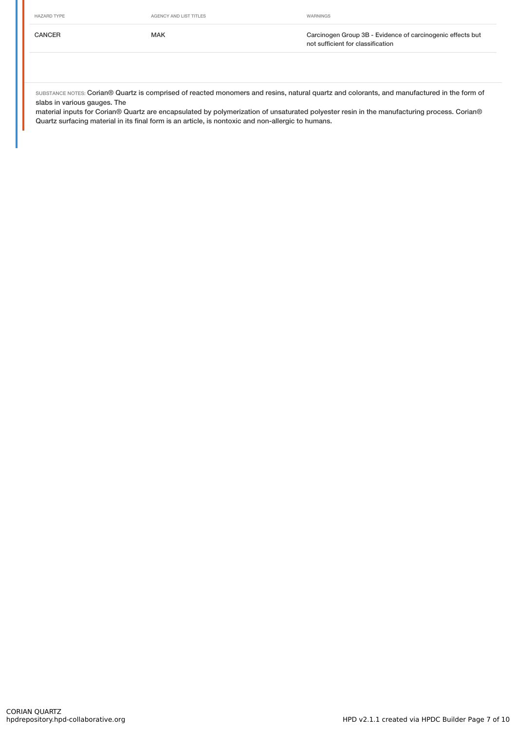#### HAZARD TYPE **AGENCY AND LIST TITLES** AGENCY AND LIST TITLES

CANCER MAK Carcinogen Group 3B - Evidence of carcinogenic effects but not sufficient for classification

SUBSTANCE NOTES: Corian® Quartz is comprised of reacted monomers and resins, natural quartz and colorants, and manufactured in the form of slabs in various gauges. The

material inputs for Corian® Quartz are encapsulated by polymerization of unsaturated polyester resin in the manufacturing process. Corian® Quartz surfacing material in its final form is an article, is nontoxic and non-allergic to humans.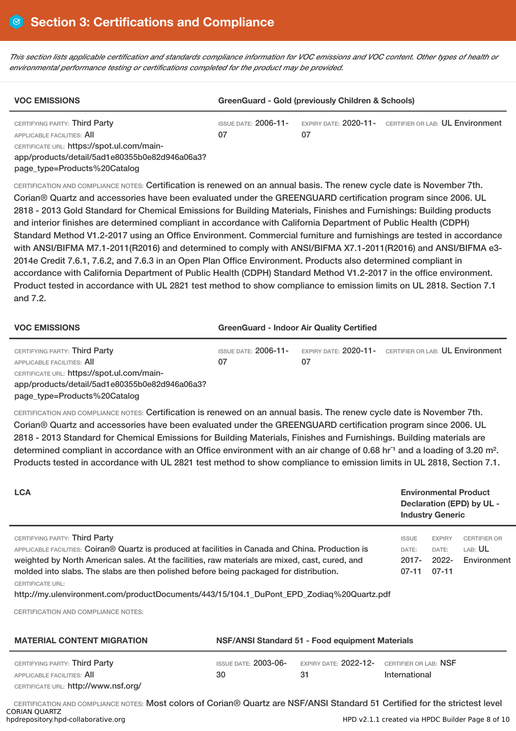This section lists applicable certification and standards compliance information for VOC emissions and VOC content. Other types of health or *environmental performance testing or certifications completed for the product may be provided.*

| <b>VOC EMISSIONS</b>                          | GreenGuard - Gold (previously Children & Schools) |    |                                                        |  |  |
|-----------------------------------------------|---------------------------------------------------|----|--------------------------------------------------------|--|--|
| CERTIFYING PARTY: Third Party                 | ISSUE DATE: <b>2006-11-</b>                       |    | EXPIRY DATE: 2020-11- CERTIFIER OR LAB: UL Environment |  |  |
| APPLICABLE FACILITIES: AII                    | 07                                                | 07 |                                                        |  |  |
| CERTIFICATE URL: https://spot.ul.com/main-    |                                                   |    |                                                        |  |  |
| app/products/detail/5ad1e80355b0e82d946a06a3? |                                                   |    |                                                        |  |  |
| page_type=Products%20Catalog                  |                                                   |    |                                                        |  |  |

CERTIFICATION AND COMPLIANCE NOTES: Certification is renewed on an annual basis. The renew cycle date is November 7th. Corian® Quartz and accessories have been evaluated under the GREENGUARD certification program since 2006. UL 2818 - 2013 Gold Standard for Chemical Emissions for Building Materials, Finishes and Furnishings: Building products and interior finishes are determined compliant in accordance with California Department of Public Health (CDPH) Standard Method V1.2-2017 using an Office Environment. Commercial furniture and furnishings are tested in accordance with ANSI/BIFMA M7.1-2011(R2016) and determined to comply with ANSI/BIFMA X7.1-2011(R2016) and ANSI/BIFMA e3- 2014e Credit 7.6.1, 7.6.2, and 7.6.3 in an Open Plan Office Environment. Products also determined compliant in accordance with California Department of Public Health (CDPH) Standard Method V1.2-2017 in the office environment. Product tested in accordance with UL 2821 test method to show compliance to emission limits on UL 2818. Section 7.1 and 7.2.

| <b>VOC EMISSIONS</b>                                                                                                                                                                       | <b>GreenGuard - Indoor Air Quality Certified</b> |    |                                                                             |  |  |
|--------------------------------------------------------------------------------------------------------------------------------------------------------------------------------------------|--------------------------------------------------|----|-----------------------------------------------------------------------------|--|--|
| CERTIFYING PARTY: Third Party<br>APPLICABLE FACILITIES: AII<br>CERTIFICATE URL: https://spot.ul.com/main-<br>app/products/detail/5ad1e80355b0e82d946a06a3?<br>page_type=Products%20Catalog | 07                                               | 07 | ISSUE DATE: 2006-11- EXPIRY DATE: 2020-11- CERTIFIER OR LAB: UL Environment |  |  |

CERTIFICATION AND COMPLIANCE NOTES: Certification is renewed on an annual basis. The renew cycle date is November 7th. Corian® Quartz and accessories have been evaluated under the GREENGUARD certification program since 2006. UL 2818 - 2013 Standard for Chemical Emissions for Building Materials, Finishes and Furnishings. Building materials are determined compliant in accordance with an Office environment with an air change of 0.68 hr<sup>1</sup> and a loading of 3.20 m<sup>2</sup>. Products tested in accordance with UL 2821 test method to show compliance to emission limits in UL 2818, Section 7.1.

| <b>LCA</b>                                                                                                                                                                                                                                                                                                                                                                                                                                                                                    |                                                 |                                           | <b>Environmental Product</b><br><b>Industry Generic</b> | Declaration (EPD) by UL -                            |
|-----------------------------------------------------------------------------------------------------------------------------------------------------------------------------------------------------------------------------------------------------------------------------------------------------------------------------------------------------------------------------------------------------------------------------------------------------------------------------------------------|-------------------------------------------------|-------------------------------------------|---------------------------------------------------------|------------------------------------------------------|
| CERTIFYING PARTY: Third Party<br>APPLICABLE FACILITIES: Coiran® Quartz is produced at facilities in Canada and China. Production is<br>weighted by North American sales. At the facilities, raw materials are mixed, cast, cured, and<br>molded into slabs. The slabs are then polished before being packaged for distribution.<br><b>CERTIFICATE URL:</b><br>http://my.ulenvironment.com/productDocuments/443/15/104.1 DuPont EPD Zodiaq%20Quartz.pdf<br>CERTIFICATION AND COMPLIANCE NOTES: |                                                 | <b>ISSUE</b><br>DATE:<br>2017-<br>$07-11$ | <b>EXPIRY</b><br>DATE:<br>$2022 -$<br>$07 - 11$         | <b>CERTIFIER OR</b><br>LAB: <b>UL</b><br>Environment |
| <b>MATERIAL CONTENT MIGRATION</b>                                                                                                                                                                                                                                                                                                                                                                                                                                                             | NSF/ANSI Standard 51 - Food equipment Materials |                                           |                                                         |                                                      |

| CERTIFYING PARTY: <b>Third Party</b>        | ISSUE DATE: <b>2003-06-</b> | EXPIRY DATE: $2022 - 12 -$ CERTIFIER OR LAB: NSF |               |
|---------------------------------------------|-----------------------------|--------------------------------------------------|---------------|
| APPLICABLE FACILITIES: <b>AII</b>           | 30                          | 31                                               | International |
| CERTIFICATE URL: <b>http://www.nsf.org/</b> |                             |                                                  |               |

CERTIFICATION AND COMPLIANCE NOTES: Most colors of Corian® Quartz are NSF/ANSI Standard 51 Certified for the strictest level CORIAN QUARTZ<br>hpdrepository.hpd-collaborative.org HPD v2.1.1 created via HPDC Builder Page 8 of 10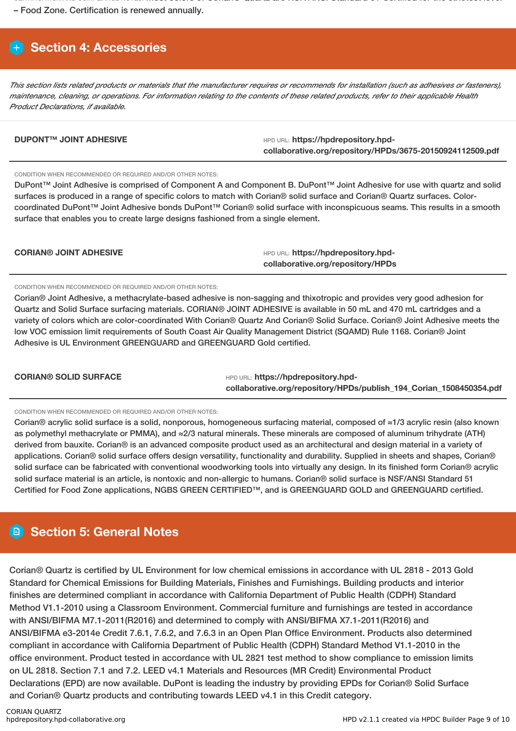CERTIFICATION AND COMPLIANCE NOTES: Most colors of Corian® Quartz are NSF/ANSI Standard 51 Certified for the strictest level

– Food Zone. Certification is renewed annually.

# **Section 4: Accessories**

This section lists related products or materials that the manufacturer requires or recommends for installation (such as adhesives or fasteners), maintenance, cleaning, or operations. For information relating to the contents of these related products, refer to their applicable Health *Product Declarations, if available.*

**DUPONT™ JOINT ADHESIVE HPD URL: https://hpdrepository.hpdcollaborative.org/repository/HPDs/3675-20150924112509.pdf**

CONDITION WHEN RECOMMENDED OR REQUIRED AND/OR OTHER NOTES:

DuPont™ Joint Adhesive is comprised of Component A and Component B. DuPont™ Joint Adhesive for use with quartz and solid surfaces is produced in a range of specific colors to match with Corian® solid surface and Corian® Quartz surfaces. Colorcoordinated DuPont™ Joint Adhesive bonds DuPont™ Corian® solid surface with inconspicuous seams. This results in a smooth surface that enables you to create large designs fashioned from a single element.

| <b>CORIAN® JOINT ADHESIVE</b> | HPD URL: https://hpdrepository.hpd- |
|-------------------------------|-------------------------------------|
|                               | collaborative.org/repository/HPDs   |

CONDITION WHEN RECOMMENDED OR REQUIRED AND/OR OTHER NOTES:

Corian® Joint Adhesive, a methacrylate-based adhesive is non-sagging and thixotropic and provides very good adhesion for Quartz and Solid Surface surfacing materials. CORIAN® JOINT ADHESIVE is available in 50 mL and 470 mL cartridges and a variety of colors which are color-coordinated With Corian® Quartz And Corian® Solid Surface. Corian® Joint Adhesive meets the low VOC emission limit requirements of South Coast Air Quality Management District (SQAMD) Rule 1168. Corian® Joint Adhesive is UL Environment GREENGUARD and GREENGUARD Gold certified.

**CORIAN® SOLID SURFACE** HED URL: **https://hpdrepository.hpdcollaborative.org/repository/HPDs/publish\_194\_Corian\_1508450354.pdf**

CONDITION WHEN RECOMMENDED OR REQUIRED AND/OR OTHER NOTES:

Corian® acrylic solid surface is a solid, nonporous, homogeneous surfacing material, composed of ≈1/3 acrylic resin (also known as polymethyl methacrylate or PMMA), and ≈2/3 natural minerals. These minerals are composed of aluminum trihydrate (ATH) derived from bauxite. Corian® is an advanced composite product used as an architectural and design material in a variety of applications. Corian® solid surface offers design versatility, functionality and durability. Supplied in sheets and shapes, Corian® solid surface can be fabricated with conventional woodworking tools into virtually any design. In its finished form Corian® acrylic solid surface material is an article, is nontoxic and non-allergic to humans. Corian® solid surface is NSF/ANSI Standard 51 Certified for Food Zone applications, NGBS GREEN CERTIFIED™, and is GREENGUARD GOLD and GREENGUARD certified.

# **Section 5: General Notes**

Corian® Quartz is certified by UL Environment for low chemical emissions in accordance with UL 2818 - 2013 Gold Standard for Chemical Emissions for Building Materials, Finishes and Furnishings. Building products and interior finishes are determined compliant in accordance with California Department of Public Health (CDPH) Standard Method V1.1-2010 using a Classroom Environment. Commercial furniture and furnishings are tested in accordance with ANSI/BIFMA M7.1-2011(R2016) and determined to comply with ANSI/BIFMA X7.1-2011(R2016) and ANSI/BIFMA e3-2014e Credit 7.6.1, 7.6.2, and 7.6.3 in an Open Plan Office Environment. Products also determined compliant in accordance with California Department of Public Health (CDPH) Standard Method V1.1-2010 in the office environment. Product tested in accordance with UL 2821 test method to show compliance to emission limits on UL 2818. Section 7.1 and 7.2. LEED v4.1 Materials and Resources (MR Credit) Environmental Product Declarations (EPD) are now available. DuPont is leading the industry by providing EPDs for Corian® Solid Surface and Corian® Quartz products and contributing towards LEED v4.1 in this Credit category.